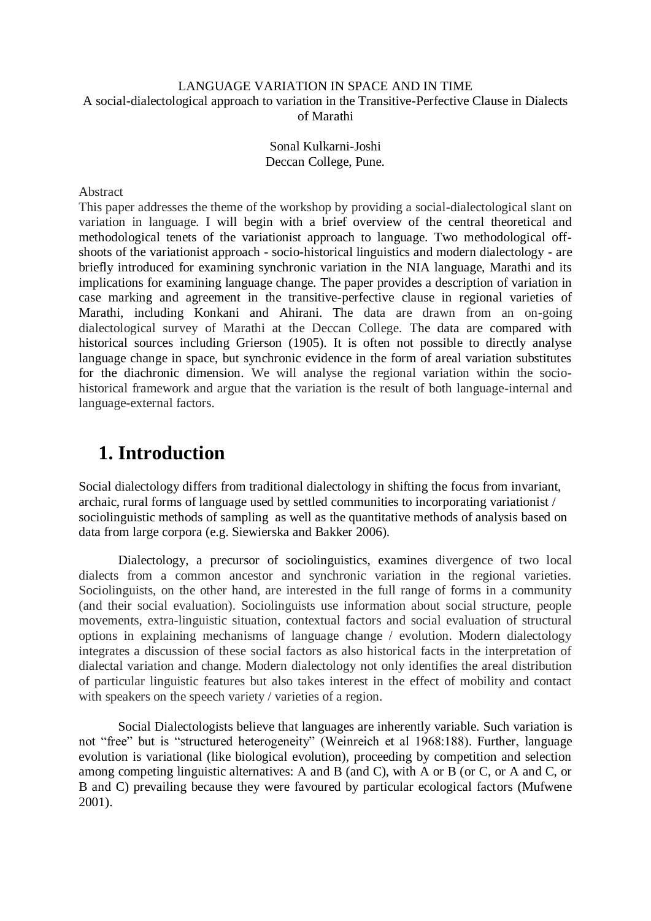### LANGUAGE VARIATION IN SPACE AND IN TIME A social-dialectological approach to variation in the Transitive-Perfective Clause in Dialects of Marathi

Sonal Kulkarni-Joshi Deccan College, Pune.

#### Abstract

This paper addresses the theme of the workshop by providing a social-dialectological slant on variation in language. I will begin with a brief overview of the central theoretical and methodological tenets of the variationist approach to language. Two methodological offshoots of the variationist approach - socio-historical linguistics and modern dialectology - are briefly introduced for examining synchronic variation in the NIA language, Marathi and its implications for examining language change. The paper provides a description of variation in case marking and agreement in the transitive-perfective clause in regional varieties of Marathi, including Konkani and Ahirani. The data are drawn from an on-going dialectological survey of Marathi at the Deccan College. The data are compared with historical sources including Grierson (1905). It is often not possible to directly analyse language change in space, but synchronic evidence in the form of areal variation substitutes for the diachronic dimension. We will analyse the regional variation within the sociohistorical framework and argue that the variation is the result of both language-internal and language-external factors.

## **1. Introduction**

Social dialectology differs from traditional dialectology in shifting the focus from invariant, archaic, rural forms of language used by settled communities to incorporating variationist / sociolinguistic methods of sampling as well as the quantitative methods of analysis based on data from large corpora (e.g. Siewierska and Bakker 2006).

Dialectology, a precursor of sociolinguistics, examines divergence of two local dialects from a common ancestor and synchronic variation in the regional varieties. Sociolinguists, on the other hand, are interested in the full range of forms in a community (and their social evaluation). Sociolinguists use information about social structure, people movements, extra-linguistic situation, contextual factors and social evaluation of structural options in explaining mechanisms of language change / evolution. Modern dialectology integrates a discussion of these social factors as also historical facts in the interpretation of dialectal variation and change. Modern dialectology not only identifies the areal distribution of particular linguistic features but also takes interest in the effect of mobility and contact with speakers on the speech variety / varieties of a region.

Social Dialectologists believe that languages are inherently variable. Such variation is not "free" but is "structured heterogeneity" (Weinreich et al 1968:188). Further, language evolution is variational (like biological evolution), proceeding by competition and selection among competing linguistic alternatives: A and B (and C), with A or B (or C, or A and C, or B and C) prevailing because they were favoured by particular ecological factors (Mufwene 2001).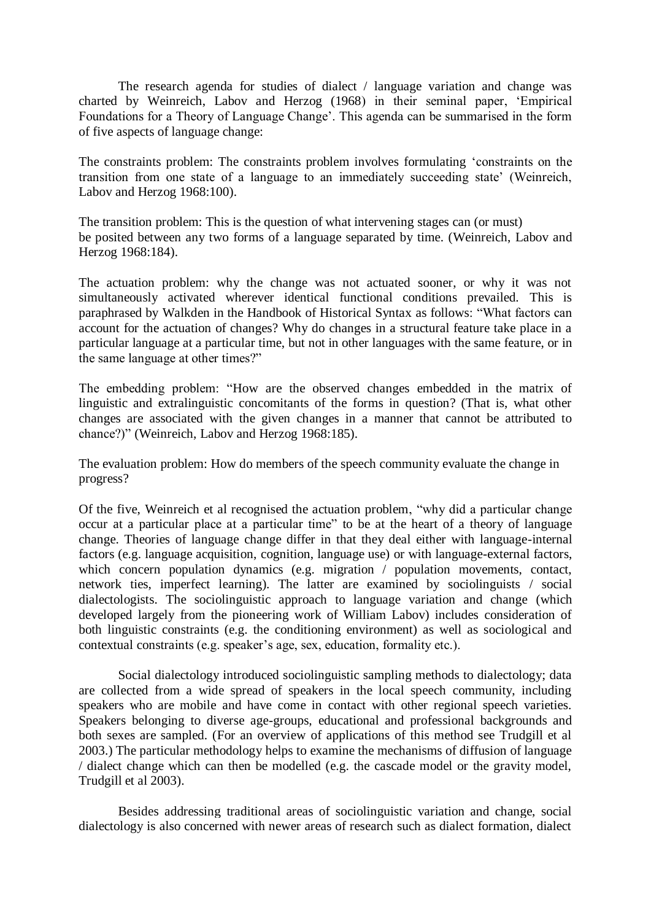The research agenda for studies of dialect / language variation and change was charted by Weinreich, Labov and Herzog (1968) in their seminal paper, "Empirical Foundations for a Theory of Language Change'. This agenda can be summarised in the form of five aspects of language change:

The constraints problem: The constraints problem involves formulating "constraints on the transition from one state of a language to an immediately succeeding state" (Weinreich, Labov and Herzog 1968:100).

The transition problem: This is the question of what intervening stages can (or must) be posited between any two forms of a language separated by time. (Weinreich, Labov and Herzog 1968:184).

The actuation problem: why the change was not actuated sooner, or why it was not simultaneously activated wherever identical functional conditions prevailed. This is paraphrased by Walkden in the Handbook of Historical Syntax as follows: "What factors can account for the actuation of changes? Why do changes in a structural feature take place in a particular language at a particular time, but not in other languages with the same feature, or in the same language at other times?"

The embedding problem: "How are the observed changes embedded in the matrix of linguistic and extralinguistic concomitants of the forms in question? (That is, what other changes are associated with the given changes in a manner that cannot be attributed to chance?)" (Weinreich, Labov and Herzog 1968:185).

The evaluation problem: How do members of the speech community evaluate the change in progress?

Of the five, Weinreich et al recognised the actuation problem, "why did a particular change occur at a particular place at a particular time" to be at the heart of a theory of language change. Theories of language change differ in that they deal either with language-internal factors (e.g. language acquisition, cognition, language use) or with language-external factors, which concern population dynamics (e.g. migration / population movements, contact, network ties, imperfect learning). The latter are examined by sociolinguists / social dialectologists. The sociolinguistic approach to language variation and change (which developed largely from the pioneering work of William Labov) includes consideration of both linguistic constraints (e.g. the conditioning environment) as well as sociological and contextual constraints (e.g. speaker's age, sex, education, formality etc.).

Social dialectology introduced sociolinguistic sampling methods to dialectology; data are collected from a wide spread of speakers in the local speech community, including speakers who are mobile and have come in contact with other regional speech varieties. Speakers belonging to diverse age-groups, educational and professional backgrounds and both sexes are sampled. (For an overview of applications of this method see Trudgill et al 2003.) The particular methodology helps to examine the mechanisms of diffusion of language / dialect change which can then be modelled (e.g. the cascade model or the gravity model, Trudgill et al 2003).

Besides addressing traditional areas of sociolinguistic variation and change, social dialectology is also concerned with newer areas of research such as dialect formation, dialect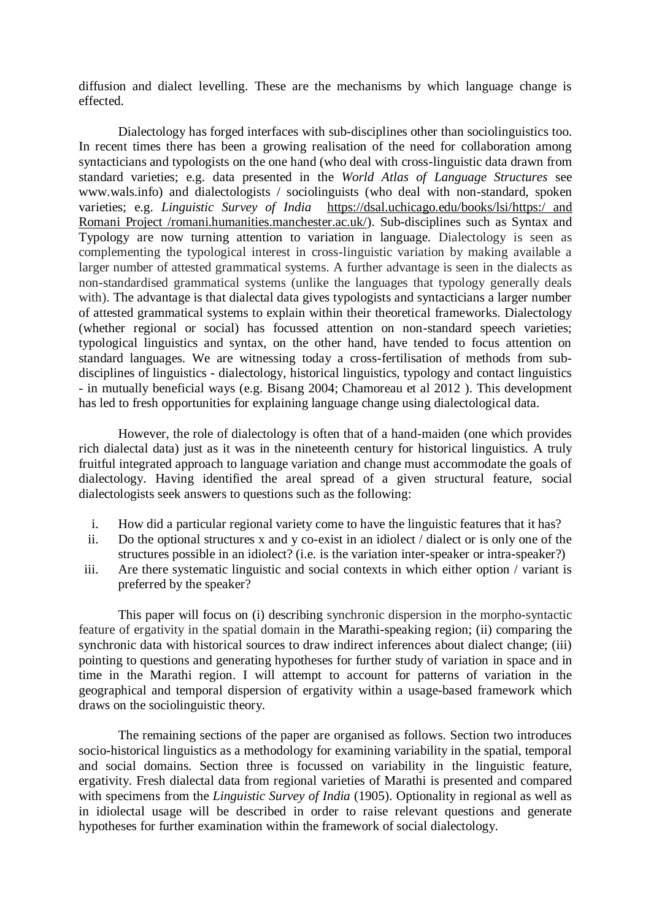diffusion and dialect levelling. These are the mechanisms by which language change is effected.

Dialectology has forged interfaces with sub-disciplines other than sociolinguistics too. In recent times there has been a growing realisation of the need for collaboration among syntacticians and typologists on the one hand (who deal with cross-linguistic data drawn from standard varieties; e.g. data presented in the *World Atlas of Language Structures* see www.wals.info) and dialectologists / sociolinguists (who deal with non-standard, spoken varieties; e.g. *Linguistic Survey of India* [https://dsal.uchicago.edu/books/lsi/https:/ and](https://dsal.uchicago.edu/books/lsi/)  [Romani Project /romani.humanities.manchester.ac.uk/\)](https://romani.humanities.manchester.ac.uk/). Sub-disciplines such as Syntax and Typology are now turning attention to variation in language. Dialectology is seen as complementing the typological interest in cross-linguistic variation by making available a larger number of attested grammatical systems. A further advantage is seen in the dialects as non-standardised grammatical systems (unlike the languages that typology generally deals with). The advantage is that dialectal data gives typologists and syntacticians a larger number of attested grammatical systems to explain within their theoretical frameworks. Dialectology (whether regional or social) has focussed attention on non-standard speech varieties; typological linguistics and syntax, on the other hand, have tended to focus attention on standard languages. We are witnessing today a cross-fertilisation of methods from subdisciplines of linguistics - dialectology, historical linguistics, typology and contact linguistics - in mutually beneficial ways (e.g. Bisang 2004; Chamoreau et al 2012 ). This development has led to fresh opportunities for explaining language change using dialectological data.

However, the role of dialectology is often that of a hand-maiden (one which provides rich dialectal data) just as it was in the nineteenth century for historical linguistics. A truly fruitful integrated approach to language variation and change must accommodate the goals of dialectology. Having identified the areal spread of a given structural feature, social dialectologists seek answers to questions such as the following:

- i. How did a particular regional variety come to have the linguistic features that it has?
- ii. Do the optional structures x and y co-exist in an idiolect / dialect or is only one of the structures possible in an idiolect? (i.e. is the variation inter-speaker or intra-speaker?)
- iii. Are there systematic linguistic and social contexts in which either option / variant is preferred by the speaker?

This paper will focus on (i) describing synchronic dispersion in the morpho-syntactic feature of ergativity in the spatial domain in the Marathi-speaking region; (ii) comparing the synchronic data with historical sources to draw indirect inferences about dialect change; (iii) pointing to questions and generating hypotheses for further study of variation in space and in time in the Marathi region. I will attempt to account for patterns of variation in the geographical and temporal dispersion of ergativity within a usage-based framework which draws on the sociolinguistic theory.

The remaining sections of the paper are organised as follows. Section two introduces socio-historical linguistics as a methodology for examining variability in the spatial, temporal and social domains. Section three is focussed on variability in the linguistic feature, ergativity. Fresh dialectal data from regional varieties of Marathi is presented and compared with specimens from the *Linguistic Survey of India* (1905). Optionality in regional as well as in idiolectal usage will be described in order to raise relevant questions and generate hypotheses for further examination within the framework of social dialectology.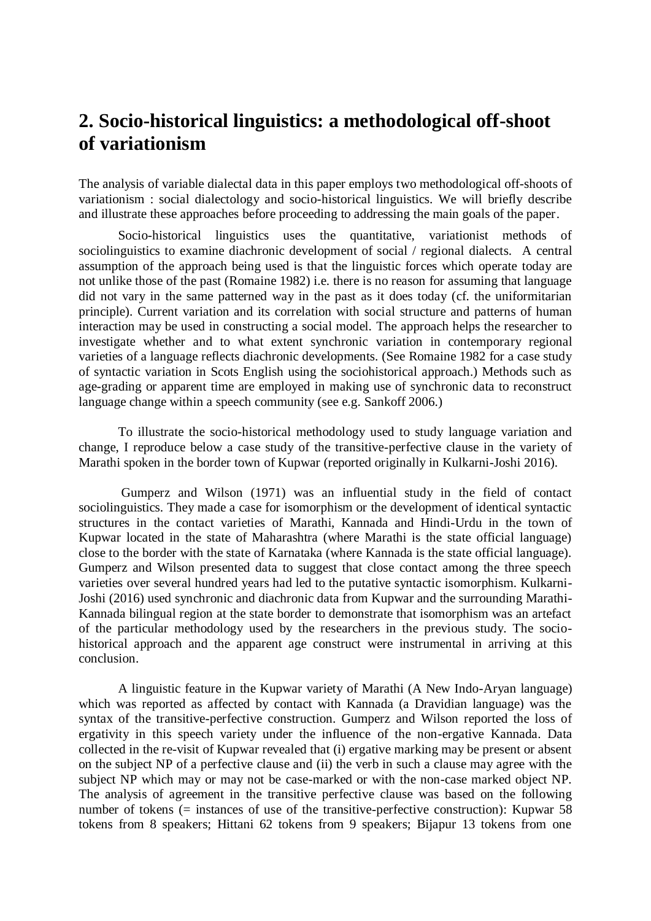## **2. Socio-historical linguistics: a methodological off-shoot of variationism**

The analysis of variable dialectal data in this paper employs two methodological off-shoots of variationism : social dialectology and socio-historical linguistics. We will briefly describe and illustrate these approaches before proceeding to addressing the main goals of the paper.

Socio-historical linguistics uses the quantitative, variationist methods of sociolinguistics to examine diachronic development of social / regional dialects. A central assumption of the approach being used is that the linguistic forces which operate today are not unlike those of the past (Romaine 1982) i.e. there is no reason for assuming that language did not vary in the same patterned way in the past as it does today (cf. the uniformitarian principle). Current variation and its correlation with social structure and patterns of human interaction may be used in constructing a social model. The approach helps the researcher to investigate whether and to what extent synchronic variation in contemporary regional varieties of a language reflects diachronic developments. (See Romaine 1982 for a case study of syntactic variation in Scots English using the sociohistorical approach.) Methods such as age-grading or apparent time are employed in making use of synchronic data to reconstruct language change within a speech community (see e.g. Sankoff 2006.)

To illustrate the socio-historical methodology used to study language variation and change, I reproduce below a case study of the transitive-perfective clause in the variety of Marathi spoken in the border town of Kupwar (reported originally in Kulkarni-Joshi 2016).

Gumperz and Wilson (1971) was an influential study in the field of contact sociolinguistics. They made a case for isomorphism or the development of identical syntactic structures in the contact varieties of Marathi, Kannada and Hindi-Urdu in the town of Kupwar located in the state of Maharashtra (where Marathi is the state official language) close to the border with the state of Karnataka (where Kannada is the state official language). Gumperz and Wilson presented data to suggest that close contact among the three speech varieties over several hundred years had led to the putative syntactic isomorphism. Kulkarni-Joshi (2016) used synchronic and diachronic data from Kupwar and the surrounding Marathi-Kannada bilingual region at the state border to demonstrate that isomorphism was an artefact of the particular methodology used by the researchers in the previous study. The sociohistorical approach and the apparent age construct were instrumental in arriving at this conclusion.

A linguistic feature in the Kupwar variety of Marathi (A New Indo-Aryan language) which was reported as affected by contact with Kannada (a Dravidian language) was the syntax of the transitive-perfective construction. Gumperz and Wilson reported the loss of ergativity in this speech variety under the influence of the non-ergative Kannada. Data collected in the re-visit of Kupwar revealed that (i) ergative marking may be present or absent on the subject NP of a perfective clause and (ii) the verb in such a clause may agree with the subject NP which may or may not be case-marked or with the non-case marked object NP. The analysis of agreement in the transitive perfective clause was based on the following number of tokens (= instances of use of the transitive-perfective construction): Kupwar 58 tokens from 8 speakers; Hittani 62 tokens from 9 speakers; Bijapur 13 tokens from one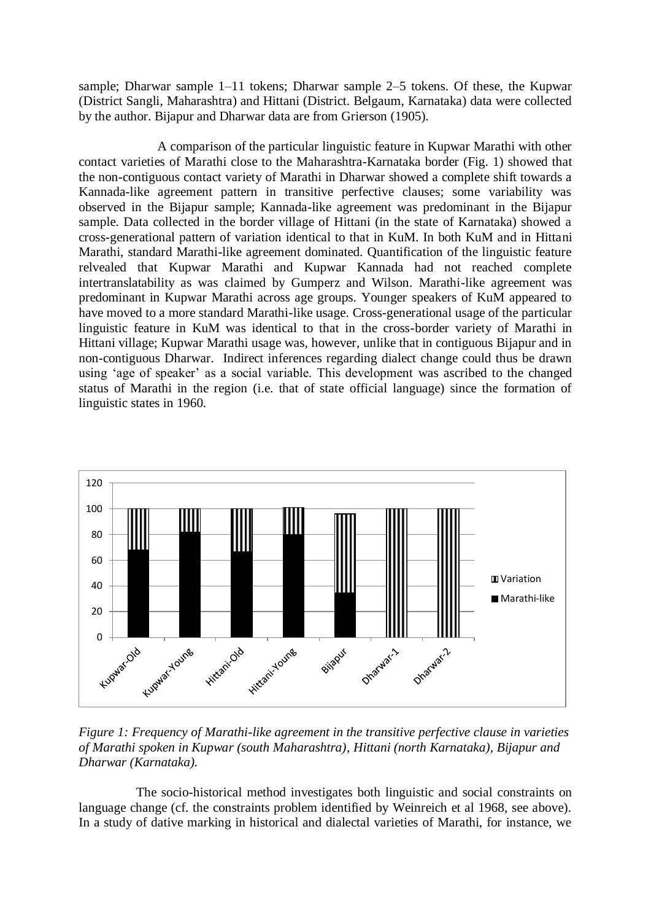sample; Dharwar sample 1–11 tokens; Dharwar sample 2–5 tokens. Of these, the Kupwar (District Sangli, Maharashtra) and Hittani (District. Belgaum, Karnataka) data were collected by the author. Bijapur and Dharwar data are from Grierson (1905).

A comparison of the particular linguistic feature in Kupwar Marathi with other contact varieties of Marathi close to the Maharashtra-Karnataka border (Fig. 1) showed that the non-contiguous contact variety of Marathi in Dharwar showed a complete shift towards a Kannada-like agreement pattern in transitive perfective clauses; some variability was observed in the Bijapur sample; Kannada-like agreement was predominant in the Bijapur sample. Data collected in the border village of Hittani (in the state of Karnataka) showed a cross-generational pattern of variation identical to that in KuM. In both KuM and in Hittani Marathi, standard Marathi-like agreement dominated. Quantification of the linguistic feature relvealed that Kupwar Marathi and Kupwar Kannada had not reached complete intertranslatability as was claimed by Gumperz and Wilson. Marathi-like agreement was predominant in Kupwar Marathi across age groups. Younger speakers of KuM appeared to have moved to a more standard Marathi-like usage. Cross-generational usage of the particular linguistic feature in KuM was identical to that in the cross-border variety of Marathi in Hittani village; Kupwar Marathi usage was, however, unlike that in contiguous Bijapur and in non-contiguous Dharwar. Indirect inferences regarding dialect change could thus be drawn using 'age of speaker' as a social variable. This development was ascribed to the changed status of Marathi in the region (i.e. that of state official language) since the formation of linguistic states in 1960.



*Figure 1: Frequency of Marathi-like agreement in the transitive perfective clause in varieties of Marathi spoken in Kupwar (south Maharashtra), Hittani (north Karnataka), Bijapur and Dharwar (Karnataka).*

The socio-historical method investigates both linguistic and social constraints on language change (cf. the constraints problem identified by Weinreich et al 1968, see above). In a study of dative marking in historical and dialectal varieties of Marathi, for instance, we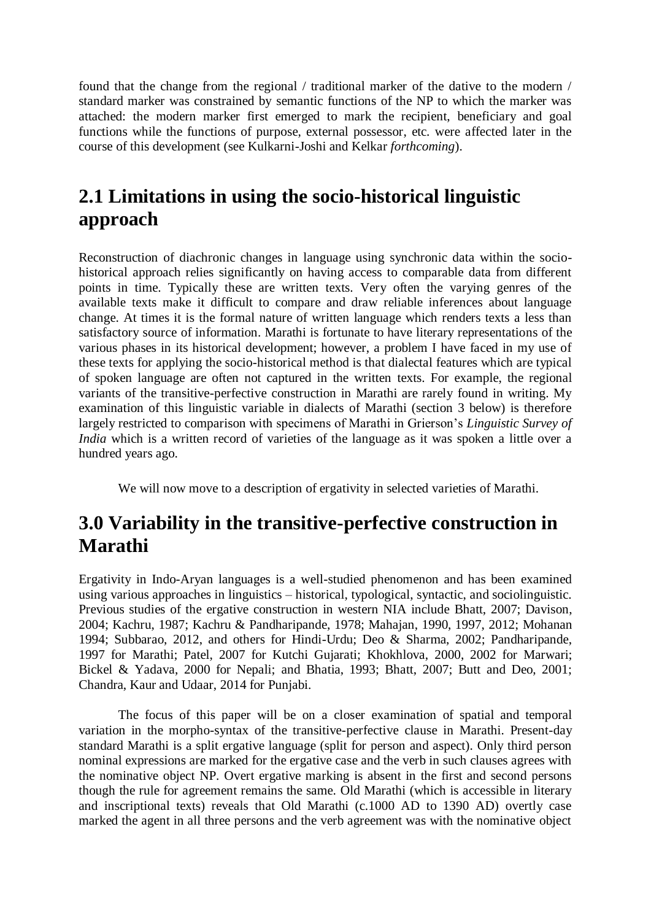found that the change from the regional / traditional marker of the dative to the modern / standard marker was constrained by semantic functions of the NP to which the marker was attached: the modern marker first emerged to mark the recipient, beneficiary and goal functions while the functions of purpose, external possessor, etc. were affected later in the course of this development (see Kulkarni-Joshi and Kelkar *forthcoming*).

# **2.1 Limitations in using the socio-historical linguistic approach**

Reconstruction of diachronic changes in language using synchronic data within the sociohistorical approach relies significantly on having access to comparable data from different points in time. Typically these are written texts. Very often the varying genres of the available texts make it difficult to compare and draw reliable inferences about language change. At times it is the formal nature of written language which renders texts a less than satisfactory source of information. Marathi is fortunate to have literary representations of the various phases in its historical development; however, a problem I have faced in my use of these texts for applying the socio-historical method is that dialectal features which are typical of spoken language are often not captured in the written texts. For example, the regional variants of the transitive-perfective construction in Marathi are rarely found in writing. My examination of this linguistic variable in dialects of Marathi (section 3 below) is therefore largely restricted to comparison with specimens of Marathi in Grierson"s *Linguistic Survey of India* which is a written record of varieties of the language as it was spoken a little over a hundred years ago.

We will now move to a description of ergativity in selected varieties of Marathi.

## **3.0 Variability in the transitive-perfective construction in Marathi**

Ergativity in Indo-Aryan languages is a well-studied phenomenon and has been examined using various approaches in linguistics – historical, typological, syntactic, and sociolinguistic. Previous studies of the ergative construction in western NIA include Bhatt, 2007; Davison, 2004; Kachru, 1987; Kachru & Pandharipande, 1978; Mahajan, 1990, 1997, 2012; Mohanan 1994; Subbarao, 2012, and others for Hindi-Urdu; Deo & Sharma, 2002; Pandharipande, 1997 for Marathi; Patel, 2007 for Kutchi Gujarati; Khokhlova, 2000, 2002 for Marwari; Bickel & Yadava, 2000 for Nepali; and Bhatia, 1993; Bhatt, 2007; Butt and Deo, 2001; Chandra, Kaur and Udaar, 2014 for Punjabi.

The focus of this paper will be on a closer examination of spatial and temporal variation in the morpho-syntax of the transitive-perfective clause in Marathi. Present-day standard Marathi is a split ergative language (split for person and aspect). Only third person nominal expressions are marked for the ergative case and the verb in such clauses agrees with the nominative object NP. Overt ergative marking is absent in the first and second persons though the rule for agreement remains the same. Old Marathi (which is accessible in literary and inscriptional texts) reveals that Old Marathi (c.1000 AD to 1390 AD) overtly case marked the agent in all three persons and the verb agreement was with the nominative object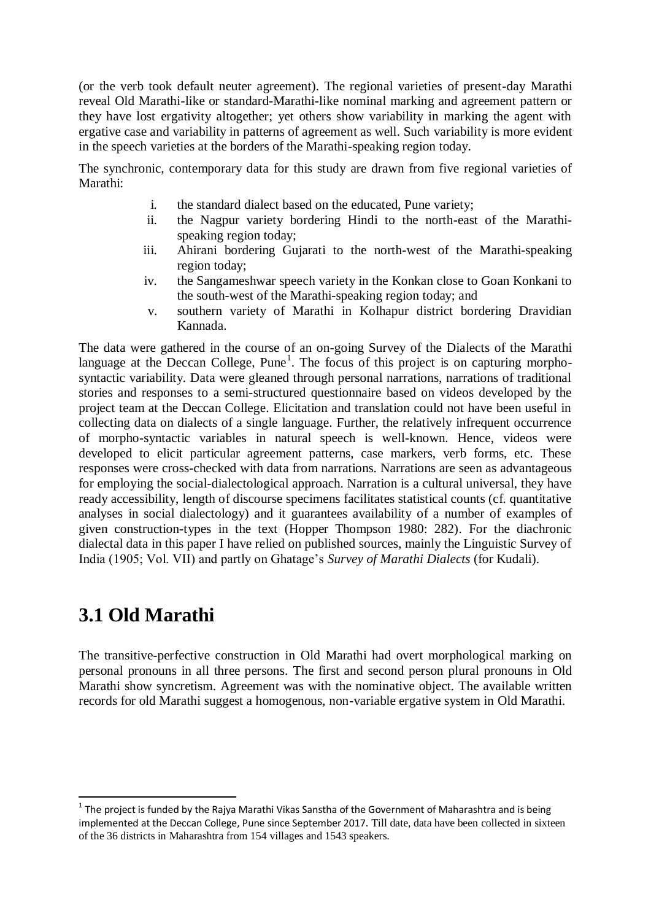(or the verb took default neuter agreement). The regional varieties of present-day Marathi reveal Old Marathi-like or standard-Marathi-like nominal marking and agreement pattern or they have lost ergativity altogether; yet others show variability in marking the agent with ergative case and variability in patterns of agreement as well. Such variability is more evident in the speech varieties at the borders of the Marathi-speaking region today.

The synchronic, contemporary data for this study are drawn from five regional varieties of Marathi:

- i. the standard dialect based on the educated, Pune variety;
- ii. the Nagpur variety bordering Hindi to the north-east of the Marathispeaking region today;
- iii. Ahirani bordering Gujarati to the north-west of the Marathi-speaking region today;
- iv. the Sangameshwar speech variety in the Konkan close to Goan Konkani to the south-west of the Marathi-speaking region today; and
- v. southern variety of Marathi in Kolhapur district bordering Dravidian Kannada.

The data were gathered in the course of an on-going Survey of the Dialects of the Marathi language at the Deccan College,  $Pune<sup>1</sup>$ . The focus of this project is on capturing morphosyntactic variability. Data were gleaned through personal narrations, narrations of traditional stories and responses to a semi-structured questionnaire based on videos developed by the project team at the Deccan College. Elicitation and translation could not have been useful in collecting data on dialects of a single language. Further, the relatively infrequent occurrence of morpho-syntactic variables in natural speech is well-known. Hence, videos were developed to elicit particular agreement patterns, case markers, verb forms, etc. These responses were cross-checked with data from narrations. Narrations are seen as advantageous for employing the social-dialectological approach. Narration is a cultural universal, they have ready accessibility, length of discourse specimens facilitates statistical counts (cf. quantitative analyses in social dialectology) and it guarantees availability of a number of examples of given construction-types in the text (Hopper Thompson 1980: 282). For the diachronic dialectal data in this paper I have relied on published sources, mainly the Linguistic Survey of India (1905; Vol. VII) and partly on Ghatage"s *Survey of Marathi Dialects* (for Kudali).

# **3.1 Old Marathi**

-

The transitive-perfective construction in Old Marathi had overt morphological marking on personal pronouns in all three persons. The first and second person plural pronouns in Old Marathi show syncretism. Agreement was with the nominative object. The available written records for old Marathi suggest a homogenous, non-variable ergative system in Old Marathi.

 $<sup>1</sup>$  The project is funded by the Rajya Marathi Vikas Sanstha of the Government of Maharashtra and is being</sup> implemented at the Deccan College, Pune since September 2017. Till date, data have been collected in sixteen of the 36 districts in Maharashtra from 154 villages and 1543 speakers.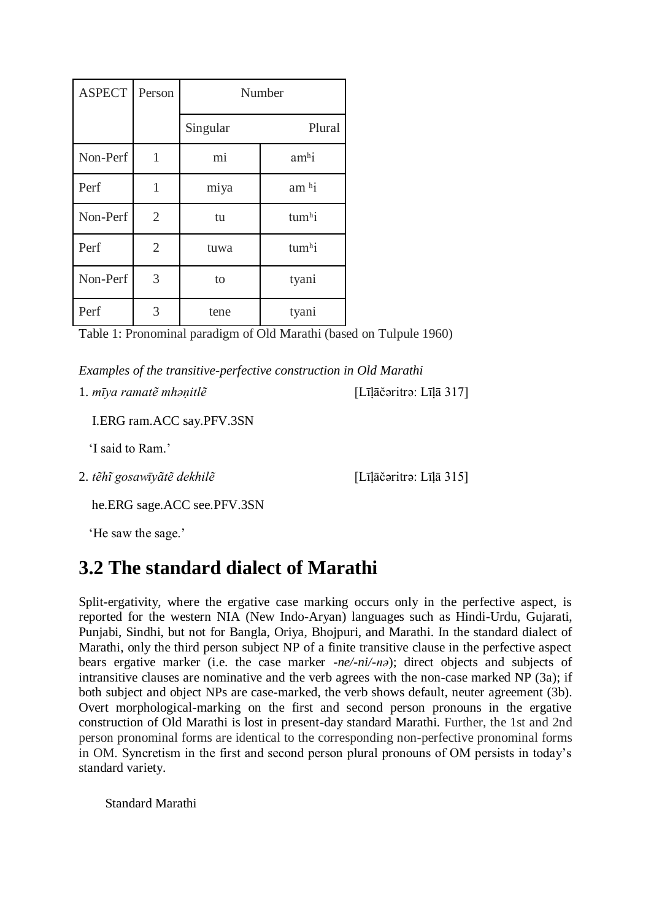| <b>ASPECT</b> | Person         | Number   |                     |  |
|---------------|----------------|----------|---------------------|--|
|               |                | Singular | Plural              |  |
| Non-Perf      | 1              | mi       | amhi                |  |
| Perf          | 1              | miya     | $am$ <sup>h</sup> i |  |
| Non-Perf      | $\overline{2}$ | tu       | tumhi               |  |
| Perf          | $\overline{2}$ | tuwa     | tumhi               |  |
| Non-Perf      | 3              | to       | tyani               |  |
| Perf          | 3              | tene     | tyani               |  |

Table 1: Pronominal paradigm of Old Marathi (based on Tulpule 1960)

*Examples of the transitive-perfective construction in Old Marathi*

1. *mīya ramatẽ mhaṇitlẽ* [Līḷāčəritrǝ: Līḷā 317]

I.ERG ram.ACC say.PFV.3SN

'I said to Ram.'

2. *tẽhĩ gosawīyãtẽ dekhilẽ* [Līḷāčəritrǝ: Līḷā 315]

he.ERG sage.ACC see.PFV.3SN

'He saw the sage.'

# **3.2 The standard dialect of Marathi**

Split-ergativity, where the ergative case marking occurs only in the perfective aspect, is reported for the western NIA (New Indo-Aryan) languages such as Hindi-Urdu, Gujarati, Punjabi, Sindhi, but not for Bangla, Oriya, Bhojpuri, and Marathi. In the standard dialect of Marathi, only the third person subject NP of a finite transitive clause in the perfective aspect bears ergative marker (i.e. the case marker -*ne/-ni/-nə*); direct objects and subjects of intransitive clauses are nominative and the verb agrees with the non-case marked NP (3a); if both subject and object NPs are case-marked, the verb shows default, neuter agreement (3b). Overt morphological-marking on the first and second person pronouns in the ergative construction of Old Marathi is lost in present-day standard Marathi. Further, the 1st and 2nd person pronominal forms are identical to the corresponding non-perfective pronominal forms in OM. Syncretism in the first and second person plural pronouns of OM persists in today"s standard variety.

Standard Marathi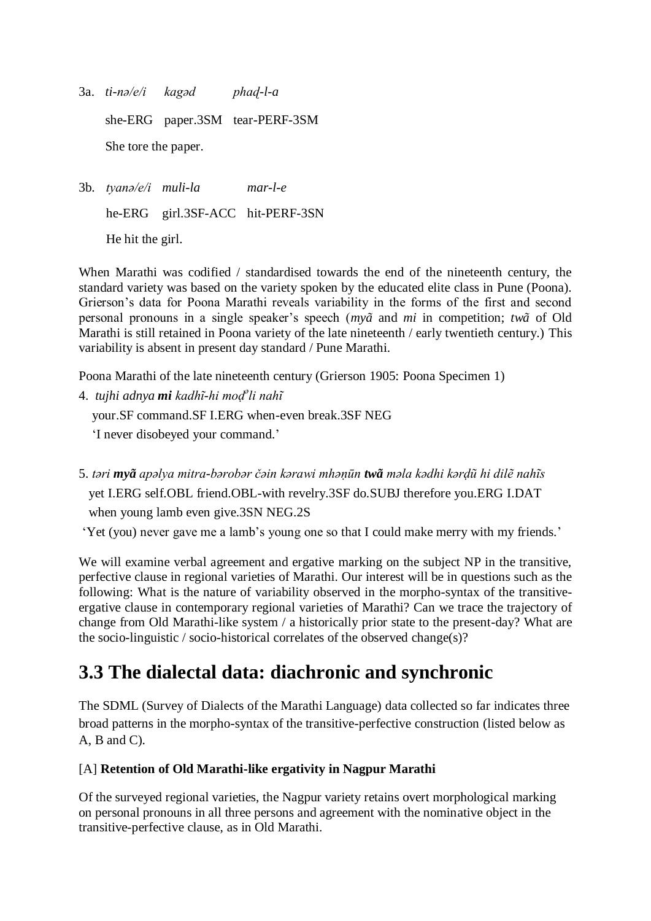- 3a. *ti-nə/e/i kagəd phaɖ-l-a* she-ERG paper.3SM tear-PERF-3SM She tore the paper.
- 3b. *tyanə/e/i muli-la mar-l-e* he-ERG girl.3SF-ACC hit-PERF-3SN He hit the girl.

When Marathi was codified / standardised towards the end of the nineteenth century, the standard variety was based on the variety spoken by the educated elite class in Pune (Poona). Grierson"s data for Poona Marathi reveals variability in the forms of the first and second personal pronouns in a single speaker"s speech (*myã* and *mi* in competition; *twã* of Old Marathi is still retained in Poona variety of the late nineteenth / early twentieth century.) This variability is absent in present day standard / Pune Marathi.

Poona Marathi of the late nineteenth century (Grierson 1905: Poona Specimen 1)

- 4. *tujhi adnya mi kadhĩ-hi moḍ<sup>ǝ</sup> li nahĩ*  your.SF command.SF I.ERG when-even break.3SF NEG "I never disobeyed your command."
- 5. *tǝri myã apǝlya mitra-bǝrobǝr čǝin kǝrawi mhǝṇūn twã mǝla kǝdhi kǝrḍũ hi dilẽ nahĩs* yet I.ERG self.OBL friend.OBL-with revelry.3SF do.SUBJ therefore you.ERG I.DAT when young lamb even give.3SN NEG.2S

"Yet (you) never gave me a lamb"s young one so that I could make merry with my friends."

We will examine verbal agreement and ergative marking on the subject NP in the transitive, perfective clause in regional varieties of Marathi. Our interest will be in questions such as the following: What is the nature of variability observed in the morpho-syntax of the transitiveergative clause in contemporary regional varieties of Marathi? Can we trace the trajectory of change from Old Marathi-like system / a historically prior state to the present-day? What are the socio-linguistic / socio-historical correlates of the observed change(s)?

# **3.3 The dialectal data: diachronic and synchronic**

The SDML (Survey of Dialects of the Marathi Language) data collected so far indicates three broad patterns in the morpho-syntax of the transitive-perfective construction (listed below as A, B and C).

### [A] **Retention of Old Marathi-like ergativity in Nagpur Marathi**

Of the surveyed regional varieties, the Nagpur variety retains overt morphological marking on personal pronouns in all three persons and agreement with the nominative object in the transitive-perfective clause, as in Old Marathi.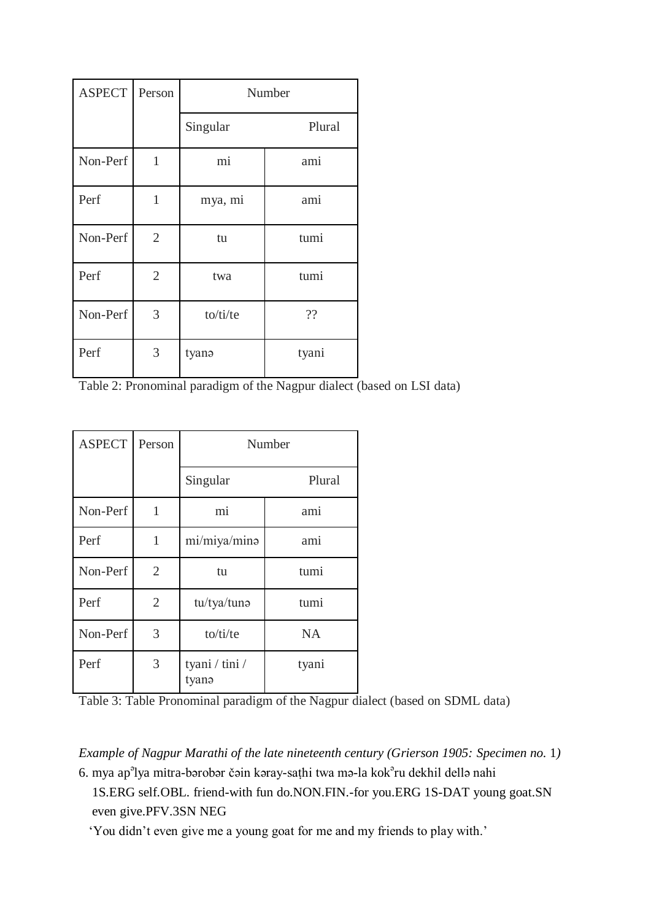| <b>ASPECT</b> | Person         | Number   |        |  |
|---------------|----------------|----------|--------|--|
|               |                | Singular | Plural |  |
| Non-Perf      | 1              | mi       | ami    |  |
| Perf          | 1              | mya, mi  | ami    |  |
| Non-Perf      | $\overline{2}$ | tu       | tumi   |  |
| Perf          | $\overline{2}$ | twa      | tumi   |  |
| Non-Perf      | 3              | to/ti/te | ??     |  |
| Perf          | 3              | tyanə    | tyani  |  |

Table 2: Pronominal paradigm of the Nagpur dialect (based on LSI data)

| <b>ASPECT</b> | Person         | Number                  |           |  |
|---------------|----------------|-------------------------|-----------|--|
|               |                | Singular                | Plural    |  |
| Non-Perf      | 1              | mi                      | ami       |  |
| Perf          | 1              | mi/miya/mina            | ami       |  |
| Non-Perf      | $\overline{2}$ | tu                      | tumi      |  |
| Perf          | $\overline{2}$ | tu/tya/tuna             | tumi      |  |
| Non-Perf      | 3              | to/ti/te                | <b>NA</b> |  |
| Perf          | 3              | tyani / tini /<br>tyanə | tyani     |  |

Table 3: Table Pronominal paradigm of the Nagpur dialect (based on SDML data)

*Example of Nagpur Marathi of the late nineteenth century (Grierson 1905: Specimen no. 1)* 

6. mya ap<sup>a</sup>lya mitra-bərobər čəin kəray-saṭhi twa mə-la kok<sup>a</sup>ru dekhil dellə nahi 1S.ERG self.OBL. friend-with fun do.NON.FIN.-for you.ERG 1S-DAT young goat.SN even give.PFV.3SN NEG

"You didn"t even give me a young goat for me and my friends to play with."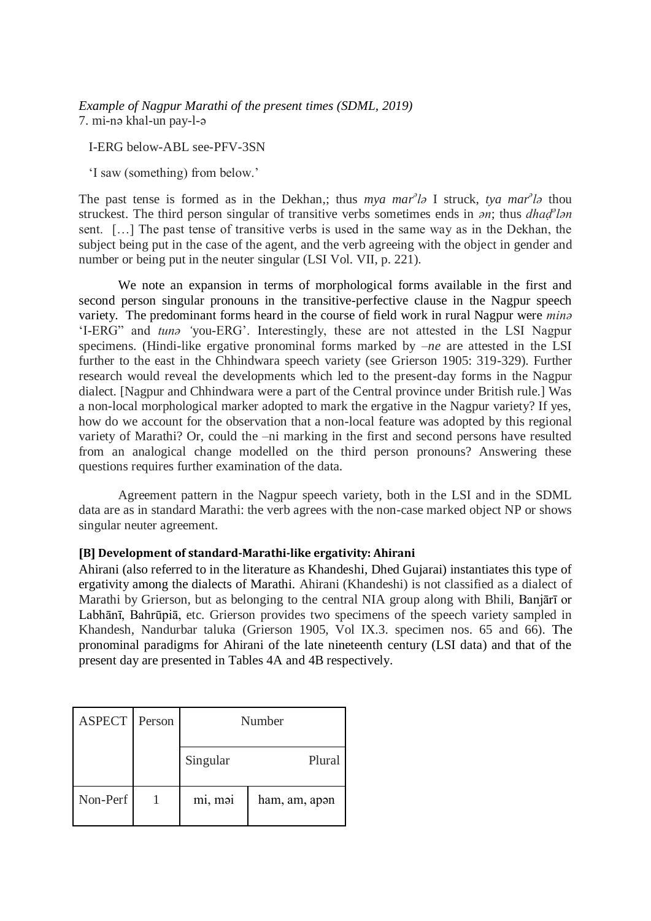*Example of Nagpur Marathi of the present times (SDML, 2019)* 7. mi-nǝ khal-un pay-l-ǝ

I-ERG below-ABL see-PFV-3SN

"I saw (something) from below."

The past tense is formed as in the Dekhan,; thus *mya mar<sup>a</sup>l*a I struck, *tya mar<sup>a</sup>la* thou struckest. The third person singular of transitive verbs sometimes ends in *an*; thus *dhaḍ*<sup>*e*</sup>lan sent. […] The past tense of transitive verbs is used in the same way as in the Dekhan, the subject being put in the case of the agent, and the verb agreeing with the object in gender and number or being put in the neuter singular (LSI Vol. VII, p. 221).

We note an expansion in terms of morphological forms available in the first and second person singular pronouns in the transitive-perfective clause in the Nagpur speech variety. The predominant forms heard in the course of field work in rural Nagpur were *minə* "I-ERG" and *tunə '*you-ERG". Interestingly, these are not attested in the LSI Nagpur specimens. (Hindi-like ergative pronominal forms marked by *–ne* are attested in the LSI further to the east in the Chhindwara speech variety (see Grierson 1905: 319-329). Further research would reveal the developments which led to the present-day forms in the Nagpur dialect. [Nagpur and Chhindwara were a part of the Central province under British rule.] Was a non-local morphological marker adopted to mark the ergative in the Nagpur variety? If yes, how do we account for the observation that a non-local feature was adopted by this regional variety of Marathi? Or, could the –ni marking in the first and second persons have resulted from an analogical change modelled on the third person pronouns? Answering these questions requires further examination of the data.

Agreement pattern in the Nagpur speech variety, both in the LSI and in the SDML data are as in standard Marathi: the verb agrees with the non-case marked object NP or shows singular neuter agreement.

#### **[B] Development of standard-Marathi-like ergativity: Ahirani**

Ahirani (also referred to in the literature as Khandeshi, Dhed Gujarai) instantiates this type of ergativity among the dialects of Marathi. Ahirani (Khandeshi) is not classified as a dialect of Marathi by Grierson, but as belonging to the central NIA group along with Bhili, Banjārī or Labhānī, Bahrūpiā, etc. Grierson provides two specimens of the speech variety sampled in Khandesh, Nandurbar taluka (Grierson 1905, Vol IX.3. specimen nos. 65 and 66). The pronominal paradigms for Ahirani of the late nineteenth century (LSI data) and that of the present day are presented in Tables 4A and 4B respectively.

| <b>ASPECT</b> | Person | Number   |               |  |
|---------------|--------|----------|---------------|--|
|               |        | Singular | Plural        |  |
| Non-Perf      |        | mi, mai  | ham, am, apən |  |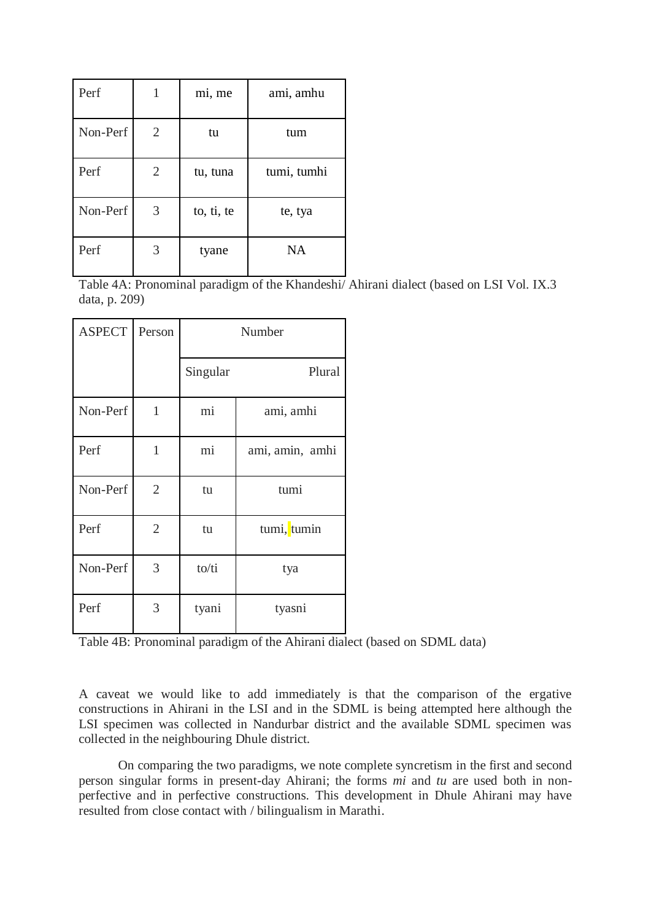| Perf     |                | mi, me     | ami, amhu   |
|----------|----------------|------------|-------------|
| Non-Perf | 2              | tu         | tum         |
| Perf     | $\overline{2}$ | tu, tuna   | tumi, tumhi |
| Non-Perf | 3              | to, ti, te | te, tya     |
| Perf     | 3              | tyane      | <b>NA</b>   |

Table 4A: Pronominal paradigm of the Khandeshi/ Ahirani dialect (based on LSI Vol. IX.3 data, p. 209)

| <b>ASPECT</b> | Person         | Number   |                 |  |
|---------------|----------------|----------|-----------------|--|
|               |                | Singular | Plural          |  |
| Non-Perf      | $\mathbf{1}$   | mi       | ami, amhi       |  |
| Perf          | 1              | mi       | ami, amin, amhi |  |
| Non-Perf      | $\overline{2}$ | tu       | tumi            |  |
| Perf          | $\overline{2}$ | tu       | tumi, tumin     |  |
| Non-Perf      | 3              | to/ti    | tya             |  |
| Perf          | 3              | tyani    | tyasni          |  |

Table 4B: Pronominal paradigm of the Ahirani dialect (based on SDML data)

A caveat we would like to add immediately is that the comparison of the ergative constructions in Ahirani in the LSI and in the SDML is being attempted here although the LSI specimen was collected in Nandurbar district and the available SDML specimen was collected in the neighbouring Dhule district.

On comparing the two paradigms, we note complete syncretism in the first and second person singular forms in present-day Ahirani; the forms *mi* and *tu* are used both in nonperfective and in perfective constructions. This development in Dhule Ahirani may have resulted from close contact with / bilingualism in Marathi.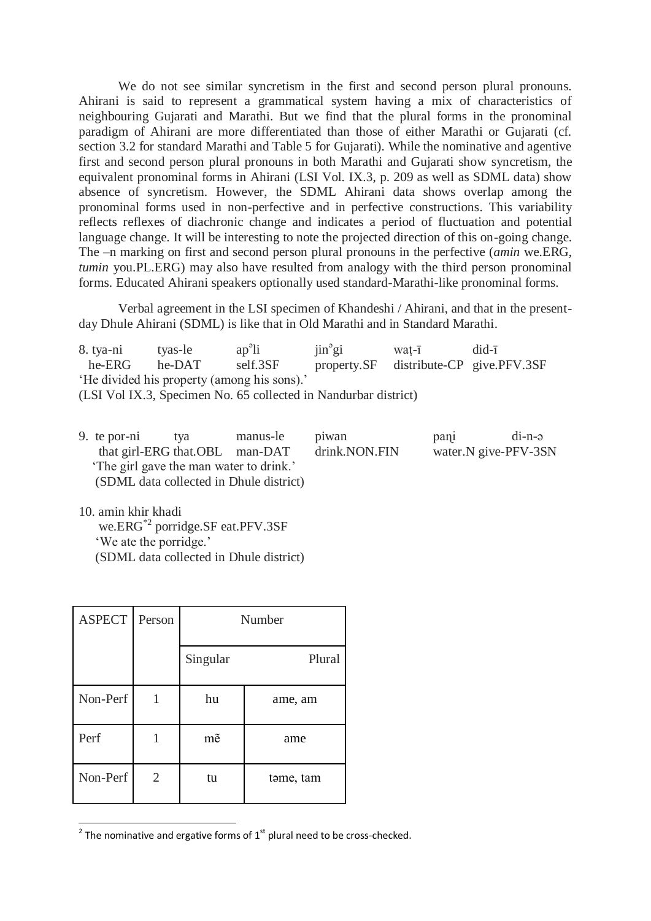We do not see similar syncretism in the first and second person plural pronouns. Ahirani is said to represent a grammatical system having a mix of characteristics of neighbouring Gujarati and Marathi. But we find that the plural forms in the pronominal paradigm of Ahirani are more differentiated than those of either Marathi or Gujarati (cf. section 3.2 for standard Marathi and Table 5 for Gujarati). While the nominative and agentive first and second person plural pronouns in both Marathi and Gujarati show syncretism, the equivalent pronominal forms in Ahirani (LSI Vol. IX.3, p. 209 as well as SDML data) show absence of syncretism. However, the SDML Ahirani data shows overlap among the pronominal forms used in non-perfective and in perfective constructions. This variability reflects reflexes of diachronic change and indicates a period of fluctuation and potential language change. It will be interesting to note the projected direction of this on-going change. The –n marking on first and second person plural pronouns in the perfective (*amin* we.ERG, *tumin* you.PL.ERG) may also have resulted from analogy with the third person pronominal forms. Educated Ahirani speakers optionally used standard-Marathi-like pronominal forms.

Verbal agreement in the LSI specimen of Khandeshi / Ahirani, and that in the presentday Dhule Ahirani (SDML) is like that in Old Marathi and in Standard Marathi.

8. tya-ni tyas-le ap<sup>a</sup>li  $\sin^9$ gi  $wat-ī$  did- $\overline{1}$  he-ERG he-DAT self.3SF property.SF distribute-CP give.PFV.3SF 'He divided his property (among his sons).' (LSI Vol IX.3, Specimen No. 65 collected in Nandurbar district)

| 9. te por-ni                            | tva | manus-le                                | piwan         | pani | $di-n-e$             |
|-----------------------------------------|-----|-----------------------------------------|---------------|------|----------------------|
| that girl-ERG that OBL man-DAT          |     |                                         | drink.NON.FIN |      | water.N give-PFV-3SN |
| 'The girl gave the man water to drink.' |     |                                         |               |      |                      |
|                                         |     | (SDML data collected in Dhule district) |               |      |                      |

10. amin khir khadi we.ERG\*2 porridge.SF eat.PFV.3SF 'We ate the porridge.' (SDML data collected in Dhule district)

| <b>ASPECT</b> | Person | Number   |           |  |
|---------------|--------|----------|-----------|--|
|               |        | Singular | Plural    |  |
| Non-Perf      |        | hu       | ame, am   |  |
| Perf          |        | mẽ       | ame       |  |
| Non-Perf      | 2      | tu       | tome, tam |  |

**<sup>.</sup>**  $2$  The nominative and ergative forms of  $1<sup>st</sup>$  plural need to be cross-checked.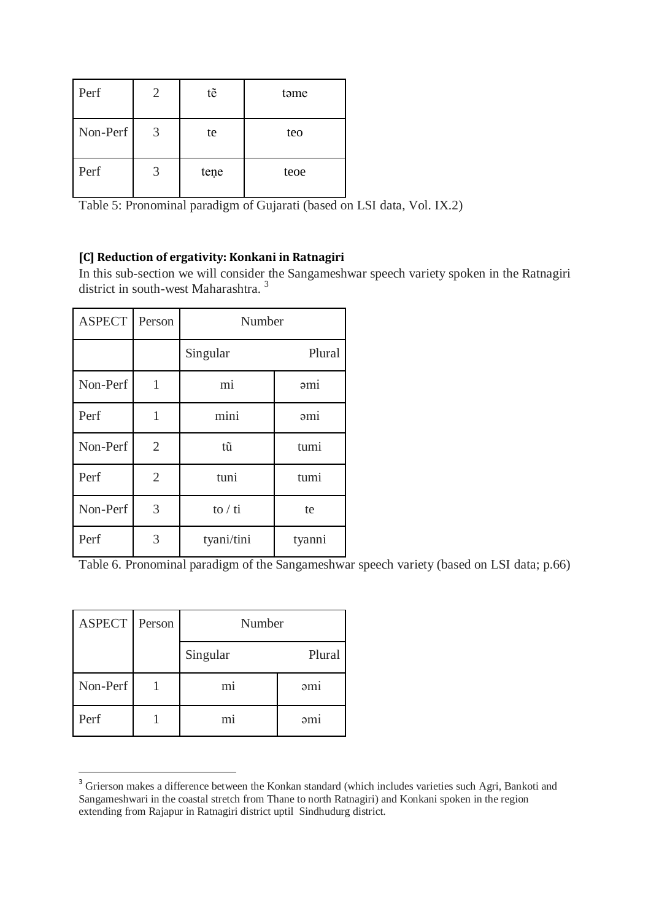| Perf     |   | tẽ   | təme |
|----------|---|------|------|
| Non-Perf | 3 | te   | teo  |
| Perf     | 3 | tene | teoe |

Table 5: Pronominal paradigm of Gujarati (based on LSI data, Vol. IX.2)

## **[C] Reduction of ergativity: Konkani in Ratnagiri**

In this sub-section we will consider the Sangameshwar speech variety spoken in the Ratnagiri district in south-west Maharashtra. <sup>3</sup>

| <b>ASPECT</b> | Person         | Number                             |        |  |
|---------------|----------------|------------------------------------|--------|--|
|               |                | Singular                           | Plural |  |
| Non-Perf      | 1              | mi                                 | 3mi    |  |
| Perf          | $\mathbf{1}$   | mini                               | 2mi    |  |
| Non-Perf      | $\overline{2}$ | tũ                                 | tumi   |  |
| Perf          | $\overline{2}$ | tuni                               | tumi   |  |
| Non-Perf      | 3              | $\frac{\mathrm{10}}{\mathrm{}}$ ti | te     |  |
| Perf          | 3              | tyani/tini                         | tyanni |  |

Table 6. Pronominal paradigm of the Sangameshwar speech variety (based on LSI data; p.66)

| ASPECT Person | Number         |                 |
|---------------|----------------|-----------------|
|               | Singular       | Plural          |
| Non-Perf      | m <sub>1</sub> | 2 <sub>m1</sub> |
| Perf          | m <sub>1</sub> | əmi             |

1

<sup>&</sup>lt;sup>3</sup> Grierson makes a difference between the Konkan standard (which includes varieties such Agri, Bankoti and Sangameshwari in the coastal stretch from Thane to north Ratnagiri) and Konkani spoken in the region extending from Rajapur in Ratnagiri district uptil Sindhudurg district.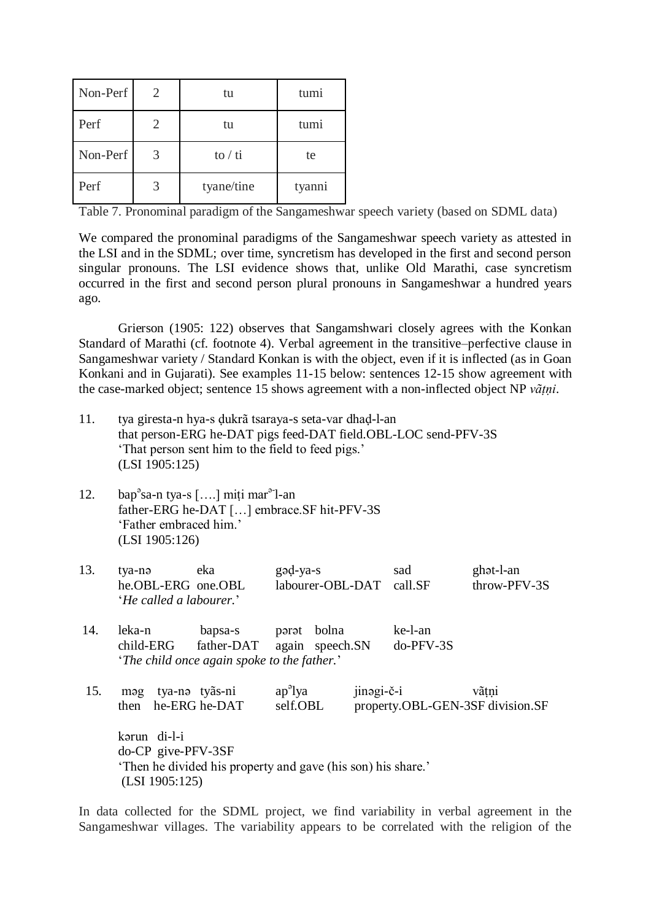| Non-Perf | 2. | tu                                  | tumi   |
|----------|----|-------------------------------------|--------|
| Perf     |    | tu                                  | tumi   |
| Non-Perf | 3  | $\frac{\mathrm{1}}{\mathrm{10}}$ ti | te     |
| Perf     |    | tyane/tine                          | tyanni |

Table 7. Pronominal paradigm of the Sangameshwar speech variety (based on SDML data)

We compared the pronominal paradigms of the Sangameshwar speech variety as attested in the LSI and in the SDML; over time, syncretism has developed in the first and second person singular pronouns. The LSI evidence shows that, unlike Old Marathi, case syncretism occurred in the first and second person plural pronouns in Sangameshwar a hundred years ago.

Grierson (1905: 122) observes that Sangamshwari closely agrees with the Konkan Standard of Marathi (cf. footnote 4). Verbal agreement in the transitive–perfective clause in Sangameshwar variety / Standard Konkan is with the object, even if it is inflected (as in Goan Konkani and in Gujarati). See examples 11-15 below: sentences 12-15 show agreement with the case-marked object; sentence 15 shows agreement with a non-inflected object NP *vãṭṇi*.

- 11. tya giresta-n hya-s ḍukrã tsaraya-s seta-var dhaḍ-l-an that person-ERG he-DAT pigs feed-DAT field.OBL-LOC send-PFV-3S 'That person sent him to the field to feed pigs.' (LSI 1905:125)
- 12. bap<sup>°</sup>sa-n tya-s [....] miți mar<sup>a-</sup>l-an father-ERG he-DAT […] embrace.SF hit-PFV-3S 'Father embraced him.' (LSI 1905:126)

| 13. | tya-nə                         | eka | gəd-ya-s                 | sad | ghot-l-an    |
|-----|--------------------------------|-----|--------------------------|-----|--------------|
|     | he.OBL-ERG one.OBL             |     | labourer-OBL-DAT call.SF |     | throw-PFV-3S |
|     | <i>He called a labourer.</i> ' |     |                          |     |              |

14. leka-n bapsa-s pərət bolna ke-l-an child-ERG father-DAT again speech.SN do-PFV-3S "*The child once again spoke to the father.*"

15. mạg tya-nạ tyãs-ni ap<sup>a</sup>lya jinǝgi-č-i vãtni then he-ERG he-DAT self.OBL property.OBL-GEN-3SF division.SF kǝrun di-l-i do-CP give-PFV-3SF Then he divided his property and gave (his son) his share.' (LSI 1905:125)

In data collected for the SDML project, we find variability in verbal agreement in the Sangameshwar villages. The variability appears to be correlated with the religion of the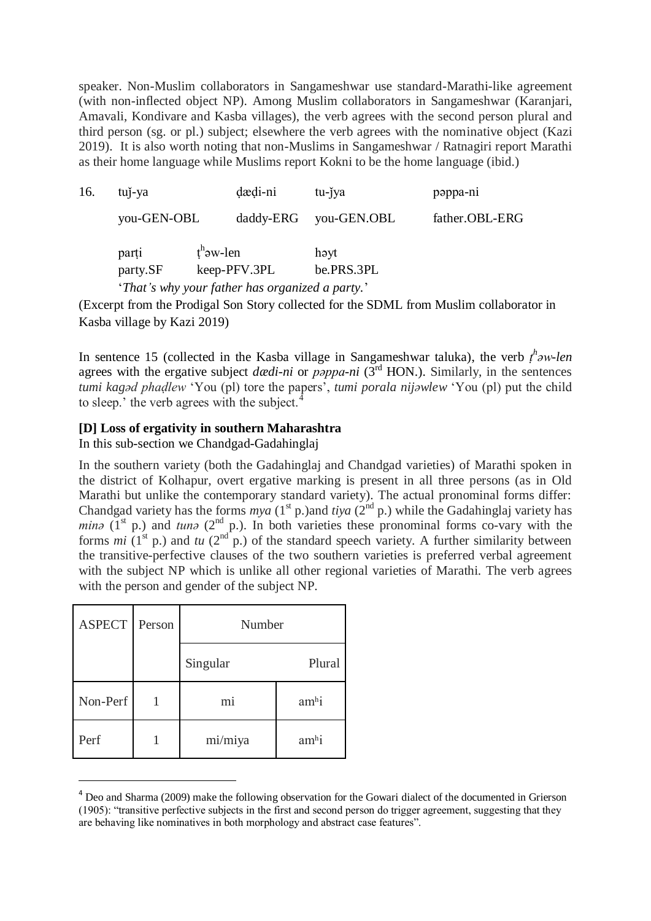speaker. Non-Muslim collaborators in Sangameshwar use standard-Marathi-like agreement (with non-inflected object NP). Among Muslim collaborators in Sangameshwar (Karanjari, Amavali, Kondivare and Kasba villages), the verb agrees with the second person plural and third person (sg. or pl.) subject; elsewhere the verb agrees with the nominative object (Kazi 2019). It is also worth noting that non-Muslims in Sangameshwar / Ratnagiri report Marathi as their home language while Muslims report Kokni to be the home language (ibid.)

| 16. | tuj-ya            |                          | dædi-ni                                         | tu-jya             | pappa-ni       |
|-----|-------------------|--------------------------|-------------------------------------------------|--------------------|----------------|
|     | you-GEN-OBL       |                          | daddy-ERG                                       | you-GEN.OBL        | father.OBL-ERG |
|     | parti<br>party.SF | $t^h$ <sub>2W</sub> -len | keep-PFV.3PL                                    | həyt<br>be.PRS.3PL |                |
|     |                   |                          | 'That's why your father has organized a party.' |                    |                |

(Excerpt from the Prodigal Son Story collected for the SDML from Muslim collaborator in Kasba village by Kazi 2019)

In sentence 15 (collected in the Kasba village in Sangameshwar taluka), the verb  $t^h$ *aw-len* agrees with the ergative subject *dædi-ni* or *pəppa-ni* (3rd HON.). Similarly, in the sentences *tumi kagəd phaḍlew* "You (pl) tore the papers", *tumi porala nijəwlew* "You (pl) put the child to sleep.' the verb agrees with the subject.

### **[D] Loss of ergativity in southern Maharashtra**

In this sub-section we Chandgad-Gadahinglaj

In the southern variety (both the Gadahinglaj and Chandgad varieties) of Marathi spoken in the district of Kolhapur, overt ergative marking is present in all three persons (as in Old Marathi but unlike the contemporary standard variety). The actual pronominal forms differ: Chandgad variety has the forms *mya* (1st p.)and *tiya* (2nd p.) while the Gadahinglaj variety has *min* $\sigma$  (1<sup>st</sup> p.) and *tun* $\sigma$  (2<sup>nd</sup> p.). In both varieties these pronominal forms co-vary with the forms  $mi$  (1<sup>st</sup> p.) and  $tu$  (2<sup>nd</sup> p.) of the standard speech variety. A further similarity between the transitive-perfective clauses of the two southern varieties is preferred verbal agreement with the subject NP which is unlike all other regional varieties of Marathi. The verb agrees with the person and gender of the subject NP.

| <b>ASPECT</b> | Person | Number         |         |  |  |  |  |
|---------------|--------|----------------|---------|--|--|--|--|
|               |        | Singular       | Plural  |  |  |  |  |
| Non-Perf      |        | m <sub>i</sub> | $amh$ i |  |  |  |  |
| Perf          |        | mi/miya        | $amh$ i |  |  |  |  |

-

<sup>&</sup>lt;sup>4</sup> Deo and Sharma (2009) make the following observation for the Gowari dialect of the documented in Grierson (1905): "transitive perfective subjects in the first and second person do trigger agreement, suggesting that they are behaving like nominatives in both morphology and abstract case features".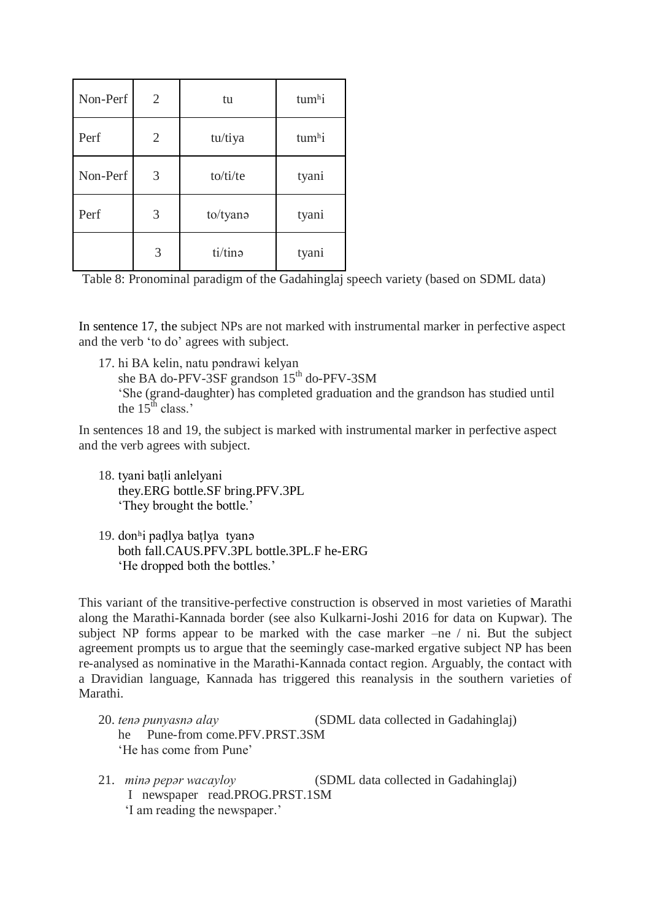| Non-Perf | $\overline{2}$ | tu       | tumhi |  |  |
|----------|----------------|----------|-------|--|--|
| Perf     | $\overline{2}$ | tu/tiya  | tumhi |  |  |
| Non-Perf | 3              | to/ti/te | tyani |  |  |
| Perf     | 3              | to/tyana | tyani |  |  |
|          | 3              | ti/tino  | tyani |  |  |

Table 8: Pronominal paradigm of the Gadahinglaj speech variety (based on SDML data)

In sentence 17, the subject NPs are not marked with instrumental marker in perfective aspect and the verb "to do" agrees with subject.

17. hi BA kelin, natu pəndrawi kelyan she BA do-PFV-3SF grandson  $15<sup>th</sup>$  do-PFV-3SM "She (grand-daughter) has completed graduation and the grandson has studied until the  $15^{\text{th}}$  class."

In sentences 18 and 19, the subject is marked with instrumental marker in perfective aspect and the verb agrees with subject.

- 18. tyani baṭli anlelyani they.ERG bottle.SF bring.PFV.3PL 'They brought the bottle.'
- 19. don<sup>h</sup>i padlya batlya tyanə both fall.CAUS.PFV.3PL bottle.3PL.F he-ERG 'He dropped both the bottles.'

This variant of the transitive-perfective construction is observed in most varieties of Marathi along the Marathi-Kannada border (see also Kulkarni-Joshi 2016 for data on Kupwar). The subject NP forms appear to be marked with the case marker –ne / ni. But the subject agreement prompts us to argue that the seemingly case-marked ergative subject NP has been re-analysed as nominative in the Marathi-Kannada contact region. Arguably, the contact with a Dravidian language, Kannada has triggered this reanalysis in the southern varieties of Marathi.

- 20. *tenǝ punyasnǝ alay* (SDML data collected in Gadahinglaj) he Pune-from come.PFV.PRST.3SM 'He has come from Pune'
- 21. *mina pepar wacayloy* (SDML data collected in Gadahinglaj) I newspaper read.PROG.PRST.1SM 'I am reading the newspaper.'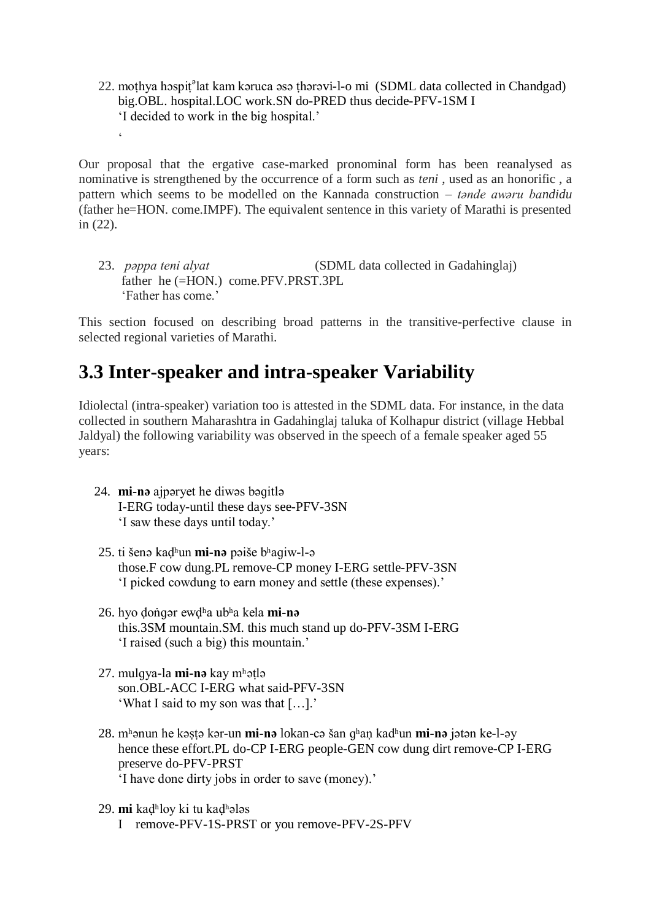22. moṭhya hɔspiṭ°lat kam kǝruca ǝsǝ ṭhǝrǝvi-l-o mi (SDML data collected in Chandgad) big.OBL. hospital.LOC work.SN do-PRED thus decide-PFV-1SM I "I decided to work in the big hospital."

Our proposal that the ergative case-marked pronominal form has been reanalysed as nominative is strengthened by the occurrence of a form such as *teni* , used as an honorific , a pattern which seems to be modelled on the Kannada construction – *tande awaru bandidu* (father he=HON. come.IMPF). The equivalent sentence in this variety of Marathi is presented in (22).

23. *pǝppa teni alyat* (SDML data collected in Gadahinglaj) father he (=HON.) come.PFV.PRST.3PL "Father has come."

This section focused on describing broad patterns in the transitive-perfective clause in selected regional varieties of Marathi.

## **3.3 Inter-speaker and intra-speaker Variability**

Idiolectal (intra-speaker) variation too is attested in the SDML data. For instance, in the data collected in southern Maharashtra in Gadahinglaj taluka of Kolhapur district (village Hebbal Jaldyal) the following variability was observed in the speech of a female speaker aged 55 years:

24. **mi-nə** ajpəryet he diwəs bəɡitlə I-ERG today-until these days see-PFV-3SN 'I saw these days until today.'

 $\zeta$ 

- 25. ti šenə kad<sup>h</sup>un **mi-nə** pəiše bhagiw-l-ə those.F cow dung.PL remove-CP money I-ERG settle-PFV-3SN "I picked cowdung to earn money and settle (these expenses)."
- 26. hyo dongar ewdha ubha kela **mi-n** this.3SM mountain.SM. this much stand up do-PFV-3SM I-ERG "I raised (such a big) this mountain."
- 27. mulɡya-la **mi-nə** kay mʰəṭlə son.OBL-ACC I-ERG what said-PFV-3SN 'What I said to my son was that [...].'
- 28. mh<sub>anun</sub> he kəstə kər-un **mi-nə** lokan-cə šan qhan kadhun **mi-nə** jətən ke-l-əy hence these effort.PL do-CP I-ERG people-GEN cow dung dirt remove-CP I-ERG preserve do-PFV-PRST "I have done dirty jobs in order to save (money)."
- 29. **mi** kaḍʰloy ki tu kaḍʰələs
	- I remove-PFV-1S-PRST or you remove-PFV-2S-PFV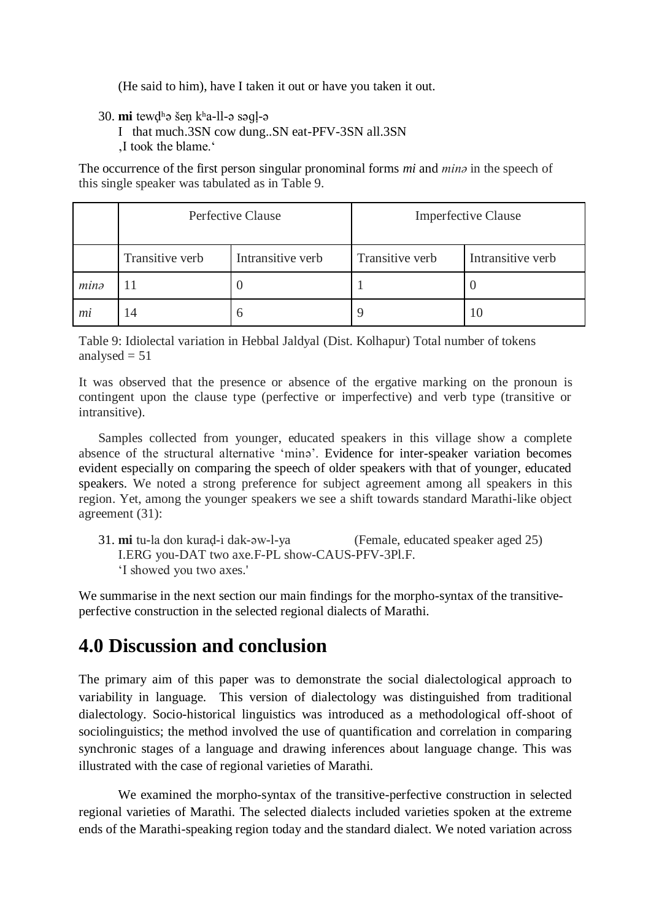(He said to him), have I taken it out or have you taken it out.

30. **mi** tewdhə šen kha-ll-ə səql-ə

I that much.3SN cow dung..SN eat-PFV-3SN all.3SN

'I took the blame."

The occurrence of the first person singular pronominal forms *mi* and *minǝ* in the speech of this single speaker was tabulated as in Table 9.

|                  |                 | Perfective Clause | <b>Imperfective Clause</b> |                   |  |
|------------------|-----------------|-------------------|----------------------------|-------------------|--|
|                  | Transitive verb | Intransitive verb | Transitive verb            | Intransitive verb |  |
| min <sub>σ</sub> | l l             |                   |                            |                   |  |
| mi               | 14              | $\mathfrak b$     |                            | 10                |  |

Table 9: Idiolectal variation in Hebbal Jaldyal (Dist. Kolhapur) Total number of tokens analysed  $= 51$ 

It was observed that the presence or absence of the ergative marking on the pronoun is contingent upon the clause type (perfective or imperfective) and verb type (transitive or intransitive).

Samples collected from younger, educated speakers in this village show a complete absence of the structural alternative 'minǝ'. Evidence for inter-speaker variation becomes evident especially on comparing the speech of older speakers with that of younger, educated speakers. We noted a strong preference for subject agreement among all speakers in this region. Yet, among the younger speakers we see a shift towards standard Marathi-like object agreement (31):

31. **mi** tu-la don kuraḍ-i dak-əw-l-ya (Female, educated speaker aged 25) I.ERG you-DAT two axe.F-PL show-CAUS-PFV-3Pl.F. "I showed you two axes.'

We summarise in the next section our main findings for the morpho-syntax of the transitiveperfective construction in the selected regional dialects of Marathi.

# **4.0 Discussion and conclusion**

The primary aim of this paper was to demonstrate the social dialectological approach to variability in language. This version of dialectology was distinguished from traditional dialectology. Socio-historical linguistics was introduced as a methodological off-shoot of sociolinguistics; the method involved the use of quantification and correlation in comparing synchronic stages of a language and drawing inferences about language change. This was illustrated with the case of regional varieties of Marathi.

We examined the morpho-syntax of the transitive-perfective construction in selected regional varieties of Marathi. The selected dialects included varieties spoken at the extreme ends of the Marathi-speaking region today and the standard dialect. We noted variation across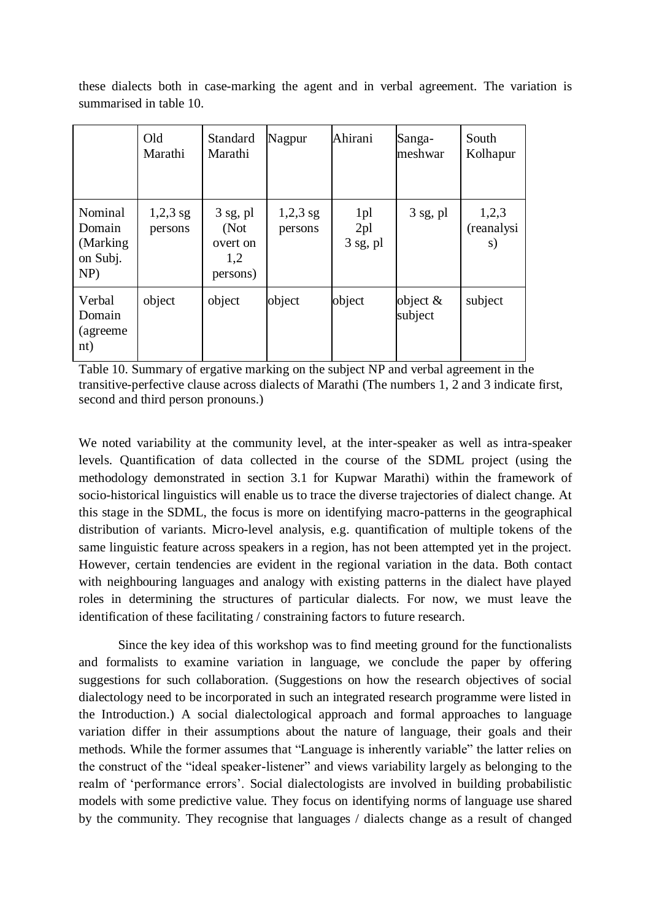|                         |  | these dialects both in case-marking the agent and in verbal agreement. The variation is |  |  |  |  |  |
|-------------------------|--|-----------------------------------------------------------------------------------------|--|--|--|--|--|
| summarised in table 10. |  |                                                                                         |  |  |  |  |  |

|                                                      | Old<br>Marathi        | Standard<br>Marathi                                | Nagpur                | Ahirani                              | Sanga-<br>meshwar     | South<br>Kolhapur          |
|------------------------------------------------------|-----------------------|----------------------------------------------------|-----------------------|--------------------------------------|-----------------------|----------------------------|
| Nominal<br>Domain<br>(Marking)<br>on Subj.<br>$NP$ ) | $1,2,3$ sg<br>persons | $3$ sg, pl<br>(Not)<br>overt on<br>1,2<br>persons) | $1,2,3$ sg<br>persons | 1pl<br>2 <sub>pl</sub><br>$3$ sg, pl | $3$ sg, pl            | 1,2,3<br>(reanalysi)<br>s) |
| Verbal<br>Domain<br>(agreeme)<br>nt)                 | object                | object                                             | object                | object                               | object $&$<br>subject | subject                    |

Table 10. Summary of ergative marking on the subject NP and verbal agreement in the transitive-perfective clause across dialects of Marathi (The numbers 1, 2 and 3 indicate first, second and third person pronouns.)

We noted variability at the community level, at the inter-speaker as well as intra-speaker levels. Quantification of data collected in the course of the SDML project (using the methodology demonstrated in section 3.1 for Kupwar Marathi) within the framework of socio-historical linguistics will enable us to trace the diverse trajectories of dialect change. At this stage in the SDML, the focus is more on identifying macro-patterns in the geographical distribution of variants. Micro-level analysis, e.g. quantification of multiple tokens of the same linguistic feature across speakers in a region, has not been attempted yet in the project. However, certain tendencies are evident in the regional variation in the data. Both contact with neighbouring languages and analogy with existing patterns in the dialect have played roles in determining the structures of particular dialects. For now, we must leave the identification of these facilitating / constraining factors to future research.

Since the key idea of this workshop was to find meeting ground for the functionalists and formalists to examine variation in language, we conclude the paper by offering suggestions for such collaboration. (Suggestions on how the research objectives of social dialectology need to be incorporated in such an integrated research programme were listed in the Introduction.) A social dialectological approach and formal approaches to language variation differ in their assumptions about the nature of language, their goals and their methods. While the former assumes that "Language is inherently variable" the latter relies on the construct of the "ideal speaker-listener" and views variability largely as belonging to the realm of "performance errors". Social dialectologists are involved in building probabilistic models with some predictive value. They focus on identifying norms of language use shared by the community. They recognise that languages / dialects change as a result of changed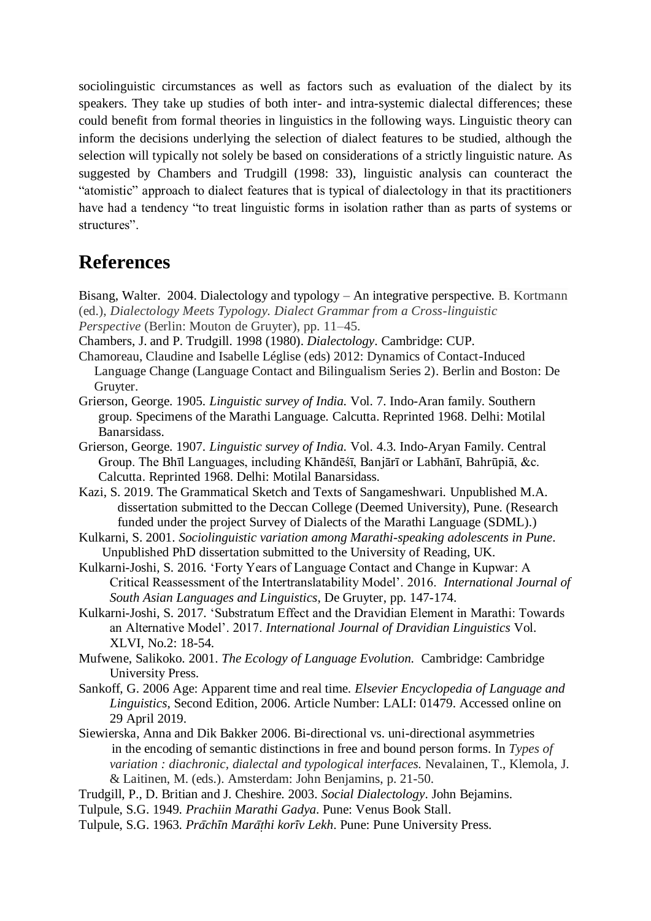sociolinguistic circumstances as well as factors such as evaluation of the dialect by its speakers. They take up studies of both inter- and intra-systemic dialectal differences; these could benefit from formal theories in linguistics in the following ways. Linguistic theory can inform the decisions underlying the selection of dialect features to be studied, although the selection will typically not solely be based on considerations of a strictly linguistic nature. As suggested by Chambers and Trudgill (1998: 33), linguistic analysis can counteract the "atomistic" approach to dialect features that is typical of dialectology in that its practitioners have had a tendency "to treat linguistic forms in isolation rather than as parts of systems or structures".

## **References**

Bisang, Walter. 2004. Dialectology and typology – An integrative perspective. B. Kortmann (ed.), *Dialectology Meets Typology. Dialect Grammar from a Cross-linguistic Perspective* (Berlin: Mouton de Gruyter), pp. 11–45.

Chambers, J. and P. Trudgill. 1998 (1980). *Dialectology*. Cambridge: CUP.

- Chamoreau, Claudine and Isabelle Léglise (eds) 2012: Dynamics of Contact-Induced Language Change (Language Contact and Bilingualism Series 2). Berlin and Boston: De Gruyter.
- Grierson, George. 1905. *Linguistic survey of India.* Vol. 7. Indo-Aran family. Southern group. Specimens of the Marathi Language. Calcutta. Reprinted 1968. Delhi: Motilal Banarsidass.
- Grierson, George. 1907. *Linguistic survey of India.* Vol. 4.3. Indo-Aryan Family. Central Group. The Bhīl Languages, including Khāndēśī, Banjārī or Labhānī, Bahrūpiā, &c. Calcutta. Reprinted 1968. Delhi: Motilal Banarsidass.
- Kazi, S. 2019. The Grammatical Sketch and Texts of Sangameshwari. Unpublished M.A. dissertation submitted to the Deccan College (Deemed University), Pune. (Research funded under the project Survey of Dialects of the Marathi Language (SDML).)
- Kulkarni, S. 2001. *Sociolinguistic variation among Marathi-speaking adolescents in Pune*. Unpublished PhD dissertation submitted to the University of Reading, UK.
- Kulkarni-Joshi, S. 2016. "Forty Years of Language Contact and Change in Kupwar: A Critical Reassessment of the Intertranslatability Model". 2016. *International Journal of South Asian Languages and Linguistics*, De Gruyter, pp. 147-174.
- Kulkarni-Joshi, S. 2017. "Substratum Effect and the Dravidian Element in Marathi: Towards an Alternative Model". 2017. *International Journal of Dravidian Linguistics* Vol. XLVI, No.2: 18-54.
- Mufwene, Salikoko. 2001. *The Ecology of Language Evolution.* Cambridge: Cambridge University Press.
- Sankoff, G. 2006 Age: Apparent time and real time. *Elsevier Encyclopedia of Language and Linguistics*, Second Edition, 2006. Article Number: LALI: 01479. Accessed online on 29 April 2019.
- Siewierska, Anna and Dik Bakker 2006. Bi-directional vs. uni-directional asymmetries in the encoding of semantic distinctions in free and bound person forms. In *Types of variation : diachronic, dialectal and typological interfaces.* Nevalainen, T., Klemola, J. & Laitinen, M. (eds.). Amsterdam: John Benjamins, p. 21-50.
- Trudgill, P., D. Britian and J. Cheshire. 2003. *Social Dialectology*. John Bejamins.
- Tulpule, S.G. 1949. *Prachiin Marathi Gadya*. Pune: Venus Book Stall.
- Tulpule, S.G. 1963. *Prachin Maraṭhi koriv Lekh*. Pune: Pune University Press.